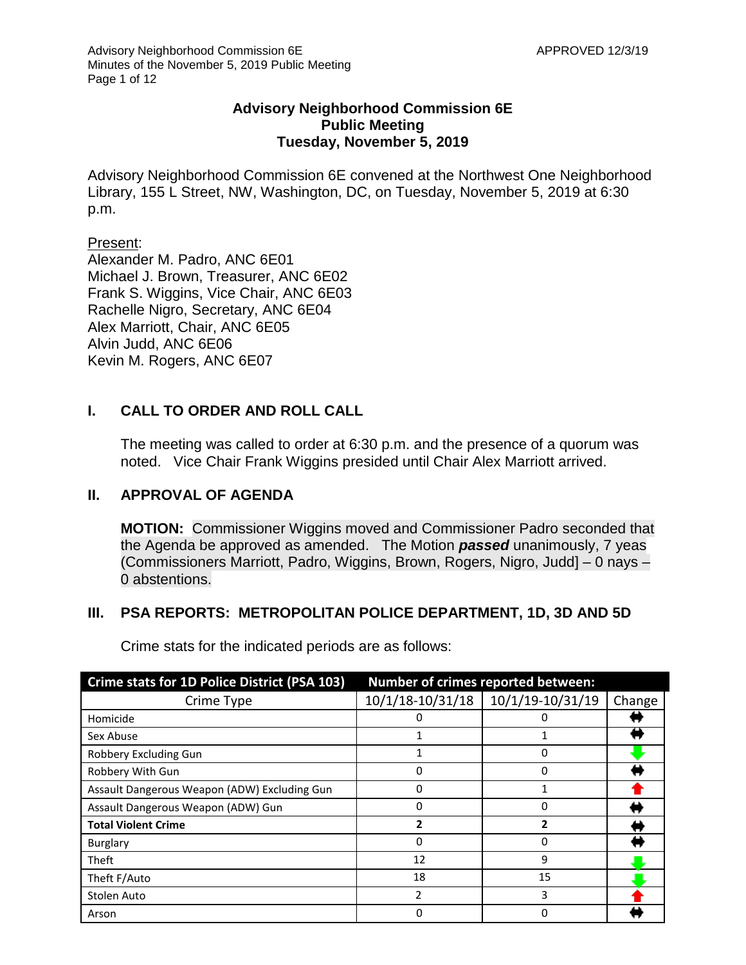## **Advisory Neighborhood Commission 6E Public Meeting Tuesday, November 5, 2019**

Advisory Neighborhood Commission 6E convened at the Northwest One Neighborhood Library, 155 L Street, NW, Washington, DC, on Tuesday, November 5, 2019 at 6:30 p.m.

#### Present:

Alexander M. Padro, ANC 6E01 Michael J. Brown, Treasurer, ANC 6E02 Frank S. Wiggins, Vice Chair, ANC 6E03 Rachelle Nigro, Secretary, ANC 6E04 Alex Marriott, Chair, ANC 6E05 Alvin Judd, ANC 6E06 Kevin M. Rogers, ANC 6E07

# **I. CALL TO ORDER AND ROLL CALL**

The meeting was called to order at 6:30 p.m. and the presence of a quorum was noted. Vice Chair Frank Wiggins presided until Chair Alex Marriott arrived.

## **II. APPROVAL OF AGENDA**

**MOTION:** Commissioner Wiggins moved and Commissioner Padro seconded that the Agenda be approved as amended. The Motion *passed* unanimously, 7 yeas (Commissioners Marriott, Padro, Wiggins, Brown, Rogers, Nigro, Judd] – 0 nays – 0 abstentions.

## **III. PSA REPORTS: METROPOLITAN POLICE DEPARTMENT, 1D, 3D AND 5D**

Crime stats for the indicated periods are as follows:

| Crime stats for 1D Police District (PSA 103) | <b>Number of crimes reported between:</b> |                  |        |
|----------------------------------------------|-------------------------------------------|------------------|--------|
| Crime Type                                   | 10/1/18-10/31/18                          | 10/1/19-10/31/19 | Change |
| Homicide                                     | 0                                         | 0                |        |
| Sex Abuse                                    |                                           |                  |        |
| Robbery Excluding Gun                        |                                           | 0                |        |
| Robbery With Gun                             | 0                                         | 0                |        |
| Assault Dangerous Weapon (ADW) Excluding Gun |                                           |                  |        |
| Assault Dangerous Weapon (ADW) Gun           | 0                                         | 0                |        |
| <b>Total Violent Crime</b>                   | 2                                         |                  |        |
| Burglary                                     | 0                                         | 0                |        |
| Theft                                        | 12                                        | 9                |        |
| Theft F/Auto                                 | 18                                        | 15               |        |
| Stolen Auto                                  | 2                                         | 3                |        |
| Arson                                        | 0                                         |                  |        |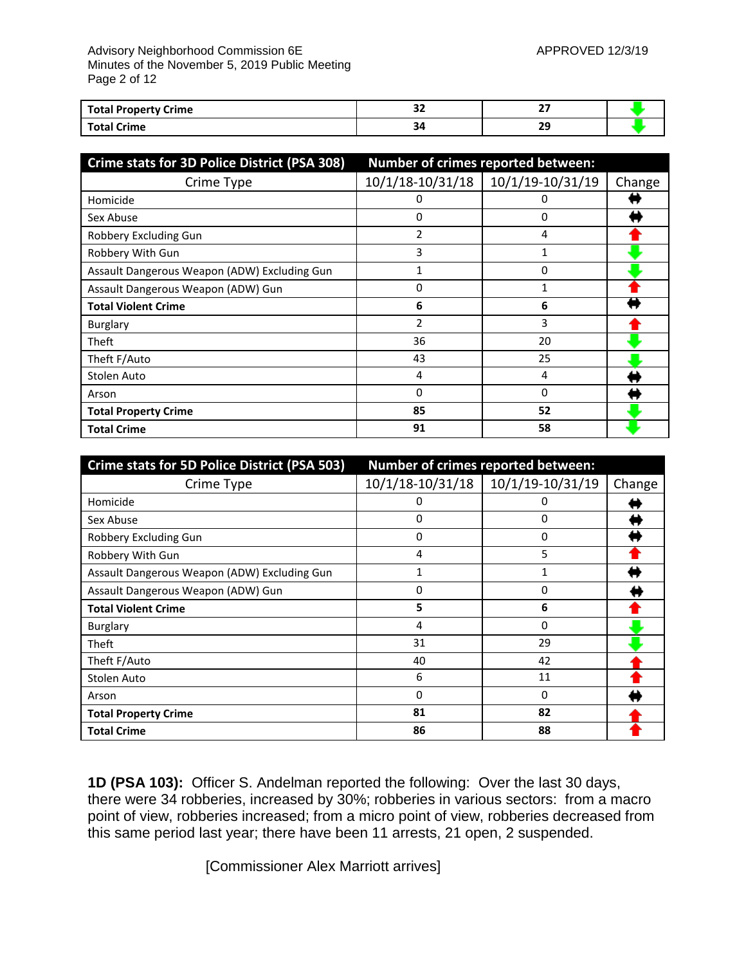#### Advisory Neighborhood Commission 6E APPROVED 12/3/19 Minutes of the November 5, 2019 Public Meeting Page 2 of 12

| <b>Total Property Crime</b> | <br>-- | --  |  |
|-----------------------------|--------|-----|--|
| <b>Total Crime</b>          |        | . . |  |

| Crime stats for 3D Police District (PSA 308) | Number of crimes reported between: |                  |        |
|----------------------------------------------|------------------------------------|------------------|--------|
| Crime Type                                   | 10/1/18-10/31/18                   | 10/1/19-10/31/19 | Change |
| Homicide                                     | O                                  | O                |        |
| Sex Abuse                                    | 0                                  | 0                |        |
| Robbery Excluding Gun                        | 2                                  | 4                |        |
| Robbery With Gun                             | 3                                  |                  |        |
| Assault Dangerous Weapon (ADW) Excluding Gun |                                    | 0                |        |
| Assault Dangerous Weapon (ADW) Gun           | 0                                  |                  |        |
| <b>Total Violent Crime</b>                   | 6                                  | 6                |        |
| Burglary                                     | 2                                  | 3                |        |
| Theft                                        | 36                                 | 20               |        |
| Theft F/Auto                                 | 43                                 | 25               |        |
| Stolen Auto                                  | 4                                  | 4                |        |
| Arson                                        | 0                                  | 0                |        |
| <b>Total Property Crime</b>                  | 85                                 | 52               |        |
| <b>Total Crime</b>                           | 91                                 | 58               |        |

| Crime stats for 5D Police District (PSA 503) | Number of crimes reported between: |                  |        |
|----------------------------------------------|------------------------------------|------------------|--------|
| Crime Type                                   | 10/1/18-10/31/18                   | 10/1/19-10/31/19 | Change |
| Homicide                                     | 0                                  | 0                |        |
| Sex Abuse                                    | $\Omega$                           | 0                |        |
| Robbery Excluding Gun                        | 0                                  | 0                |        |
| Robbery With Gun                             | 4                                  | 5                |        |
| Assault Dangerous Weapon (ADW) Excluding Gun | 1                                  | 1                |        |
| Assault Dangerous Weapon (ADW) Gun           | 0                                  | 0                |        |
| <b>Total Violent Crime</b>                   | 5                                  | 6                |        |
| Burglary                                     | 4                                  | 0                |        |
| Theft                                        | 31                                 | 29               |        |
| Theft F/Auto                                 | 40                                 | 42               |        |
| Stolen Auto                                  | 6                                  | 11               |        |
| Arson                                        | 0                                  | 0                |        |
| <b>Total Property Crime</b>                  | 81                                 | 82               |        |
| <b>Total Crime</b>                           | 86                                 | 88               |        |

**1D (PSA 103):** Officer S. Andelman reported the following: Over the last 30 days, there were 34 robberies, increased by 30%; robberies in various sectors: from a macro point of view, robberies increased; from a micro point of view, robberies decreased from this same period last year; there have been 11 arrests, 21 open, 2 suspended.

[Commissioner Alex Marriott arrives]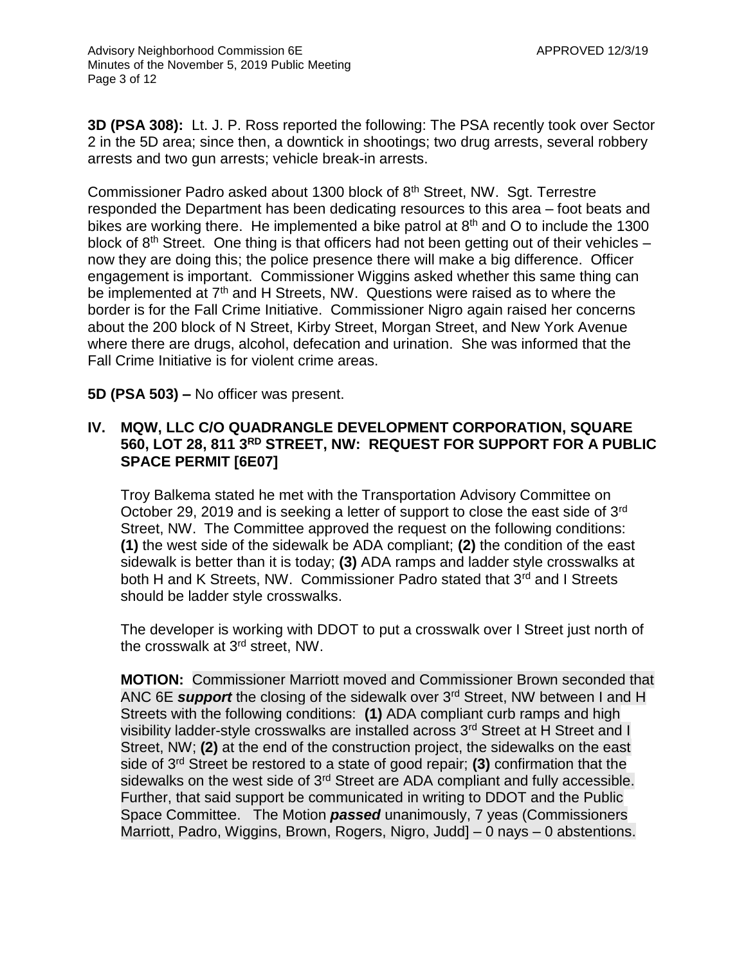**3D (PSA 308):** Lt. J. P. Ross reported the following: The PSA recently took over Sector 2 in the 5D area; since then, a downtick in shootings; two drug arrests, several robbery arrests and two gun arrests; vehicle break-in arrests.

Commissioner Padro asked about 1300 block of 8<sup>th</sup> Street, NW. Sqt. Terrestre responded the Department has been dedicating resources to this area – foot beats and bikes are working there. He implemented a bike patrol at  $8<sup>th</sup>$  and O to include the 1300 block of  $8<sup>th</sup>$  Street. One thing is that officers had not been getting out of their vehicles – now they are doing this; the police presence there will make a big difference. Officer engagement is important. Commissioner Wiggins asked whether this same thing can be implemented at 7<sup>th</sup> and H Streets, NW. Questions were raised as to where the border is for the Fall Crime Initiative. Commissioner Nigro again raised her concerns about the 200 block of N Street, Kirby Street, Morgan Street, and New York Avenue where there are drugs, alcohol, defecation and urination. She was informed that the Fall Crime Initiative is for violent crime areas.

**5D (PSA 503) –** No officer was present.

#### **IV. MQW, LLC C/O QUADRANGLE DEVELOPMENT CORPORATION, SQUARE 560, LOT 28, 811 3RD STREET, NW: REQUEST FOR SUPPORT FOR A PUBLIC SPACE PERMIT [6E07]**

Troy Balkema stated he met with the Transportation Advisory Committee on October 29, 2019 and is seeking a letter of support to close the east side of 3rd Street, NW. The Committee approved the request on the following conditions: **(1)** the west side of the sidewalk be ADA compliant; **(2)** the condition of the east sidewalk is better than it is today; **(3)** ADA ramps and ladder style crosswalks at both H and K Streets, NW. Commissioner Padro stated that 3<sup>rd</sup> and I Streets should be ladder style crosswalks.

The developer is working with DDOT to put a crosswalk over I Street just north of the crosswalk at 3rd street, NW.

**MOTION:** Commissioner Marriott moved and Commissioner Brown seconded that ANC 6E *support* the closing of the sidewalk over 3rd Street, NW between I and H Streets with the following conditions: **(1)** ADA compliant curb ramps and high visibility ladder-style crosswalks are installed across 3<sup>rd</sup> Street at H Street and I Street, NW; **(2)** at the end of the construction project, the sidewalks on the east side of 3rd Street be restored to a state of good repair; **(3)** confirmation that the sidewalks on the west side of 3<sup>rd</sup> Street are ADA compliant and fully accessible. Further, that said support be communicated in writing to DDOT and the Public Space Committee. The Motion *passed* unanimously, 7 yeas (Commissioners Marriott, Padro, Wiggins, Brown, Rogers, Nigro, Judd] – 0 nays – 0 abstentions.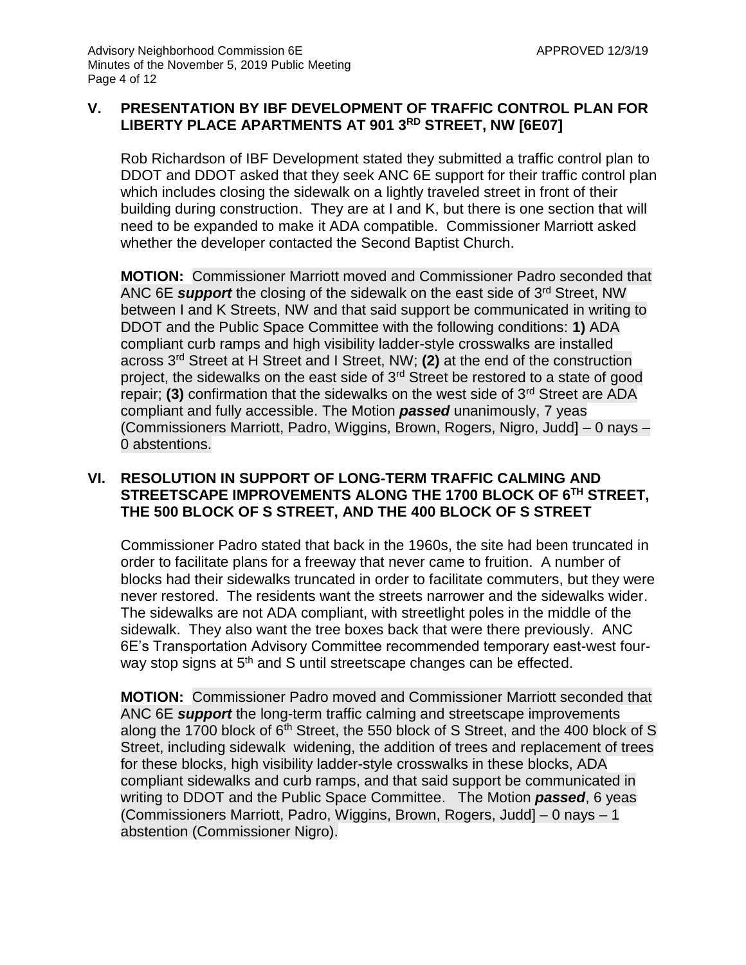## **V. PRESENTATION BY IBF DEVELOPMENT OF TRAFFIC CONTROL PLAN FOR LIBERTY PLACE APARTMENTS AT 901 3RD STREET, NW [6E07]**

Rob Richardson of IBF Development stated they submitted a traffic control plan to DDOT and DDOT asked that they seek ANC 6E support for their traffic control plan which includes closing the sidewalk on a lightly traveled street in front of their building during construction. They are at I and K, but there is one section that will need to be expanded to make it ADA compatible. Commissioner Marriott asked whether the developer contacted the Second Baptist Church.

**MOTION:** Commissioner Marriott moved and Commissioner Padro seconded that ANC 6E *support* the closing of the sidewalk on the east side of 3rd Street, NW between I and K Streets, NW and that said support be communicated in writing to DDOT and the Public Space Committee with the following conditions: **1)** ADA compliant curb ramps and high visibility ladder-style crosswalks are installed across 3rd Street at H Street and I Street, NW; **(2)** at the end of the construction project, the sidewalks on the east side of 3rd Street be restored to a state of good repair; **(3)** confirmation that the sidewalks on the west side of 3<sup>rd</sup> Street are ADA compliant and fully accessible. The Motion *passed* unanimously, 7 yeas (Commissioners Marriott, Padro, Wiggins, Brown, Rogers, Nigro, Judd] – 0 nays – 0 abstentions.

## **VI. RESOLUTION IN SUPPORT OF LONG-TERM TRAFFIC CALMING AND STREETSCAPE IMPROVEMENTS ALONG THE 1700 BLOCK OF 6TH STREET, THE 500 BLOCK OF S STREET, AND THE 400 BLOCK OF S STREET**

Commissioner Padro stated that back in the 1960s, the site had been truncated in order to facilitate plans for a freeway that never came to fruition. A number of blocks had their sidewalks truncated in order to facilitate commuters, but they were never restored. The residents want the streets narrower and the sidewalks wider. The sidewalks are not ADA compliant, with streetlight poles in the middle of the sidewalk. They also want the tree boxes back that were there previously. ANC 6E's Transportation Advisory Committee recommended temporary east-west fourway stop signs at 5<sup>th</sup> and S until streetscape changes can be effected.

**MOTION:** Commissioner Padro moved and Commissioner Marriott seconded that ANC 6E *support* the long-term traffic calming and streetscape improvements along the 1700 block of  $6<sup>th</sup>$  Street, the 550 block of S Street, and the 400 block of S Street, including sidewalk widening, the addition of trees and replacement of trees for these blocks, high visibility ladder-style crosswalks in these blocks, ADA compliant sidewalks and curb ramps, and that said support be communicated in writing to DDOT and the Public Space Committee. The Motion *passed*, 6 yeas (Commissioners Marriott, Padro, Wiggins, Brown, Rogers, Judd] – 0 nays – 1 abstention (Commissioner Nigro).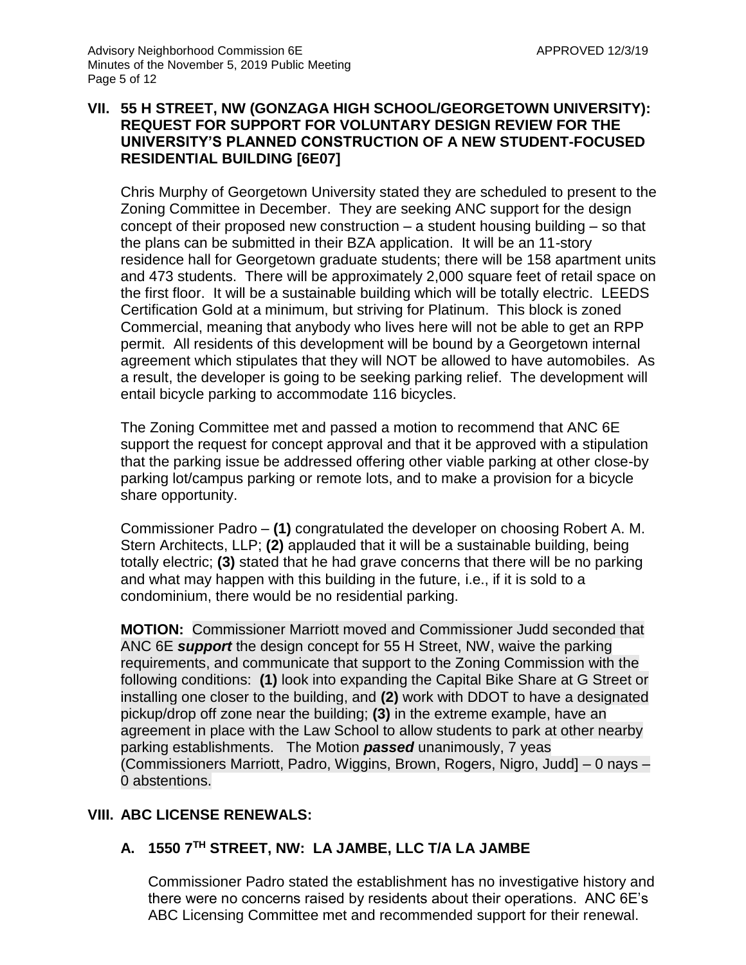#### **VII. 55 H STREET, NW (GONZAGA HIGH SCHOOL/GEORGETOWN UNIVERSITY): REQUEST FOR SUPPORT FOR VOLUNTARY DESIGN REVIEW FOR THE UNIVERSITY'S PLANNED CONSTRUCTION OF A NEW STUDENT-FOCUSED RESIDENTIAL BUILDING [6E07]**

Chris Murphy of Georgetown University stated they are scheduled to present to the Zoning Committee in December. They are seeking ANC support for the design concept of their proposed new construction – a student housing building – so that the plans can be submitted in their BZA application. It will be an 11-story residence hall for Georgetown graduate students; there will be 158 apartment units and 473 students. There will be approximately 2,000 square feet of retail space on the first floor. It will be a sustainable building which will be totally electric. LEEDS Certification Gold at a minimum, but striving for Platinum. This block is zoned Commercial, meaning that anybody who lives here will not be able to get an RPP permit. All residents of this development will be bound by a Georgetown internal agreement which stipulates that they will NOT be allowed to have automobiles. As a result, the developer is going to be seeking parking relief. The development will entail bicycle parking to accommodate 116 bicycles.

The Zoning Committee met and passed a motion to recommend that ANC 6E support the request for concept approval and that it be approved with a stipulation that the parking issue be addressed offering other viable parking at other close-by parking lot/campus parking or remote lots, and to make a provision for a bicycle share opportunity.

Commissioner Padro – **(1)** congratulated the developer on choosing Robert A. M. Stern Architects, LLP; **(2)** applauded that it will be a sustainable building, being totally electric; **(3)** stated that he had grave concerns that there will be no parking and what may happen with this building in the future, i.e., if it is sold to a condominium, there would be no residential parking.

**MOTION:** Commissioner Marriott moved and Commissioner Judd seconded that ANC 6E *support* the design concept for 55 H Street, NW, waive the parking requirements, and communicate that support to the Zoning Commission with the following conditions: **(1)** look into expanding the Capital Bike Share at G Street or installing one closer to the building, and **(2)** work with DDOT to have a designated pickup/drop off zone near the building; **(3)** in the extreme example, have an agreement in place with the Law School to allow students to park at other nearby parking establishments. The Motion *passed* unanimously, 7 yeas (Commissioners Marriott, Padro, Wiggins, Brown, Rogers, Nigro, Judd] – 0 nays – 0 abstentions.

# **VIII. ABC LICENSE RENEWALS:**

# **A. 1550 7TH STREET, NW: LA JAMBE, LLC T/A LA JAMBE**

Commissioner Padro stated the establishment has no investigative history and there were no concerns raised by residents about their operations. ANC 6E's ABC Licensing Committee met and recommended support for their renewal.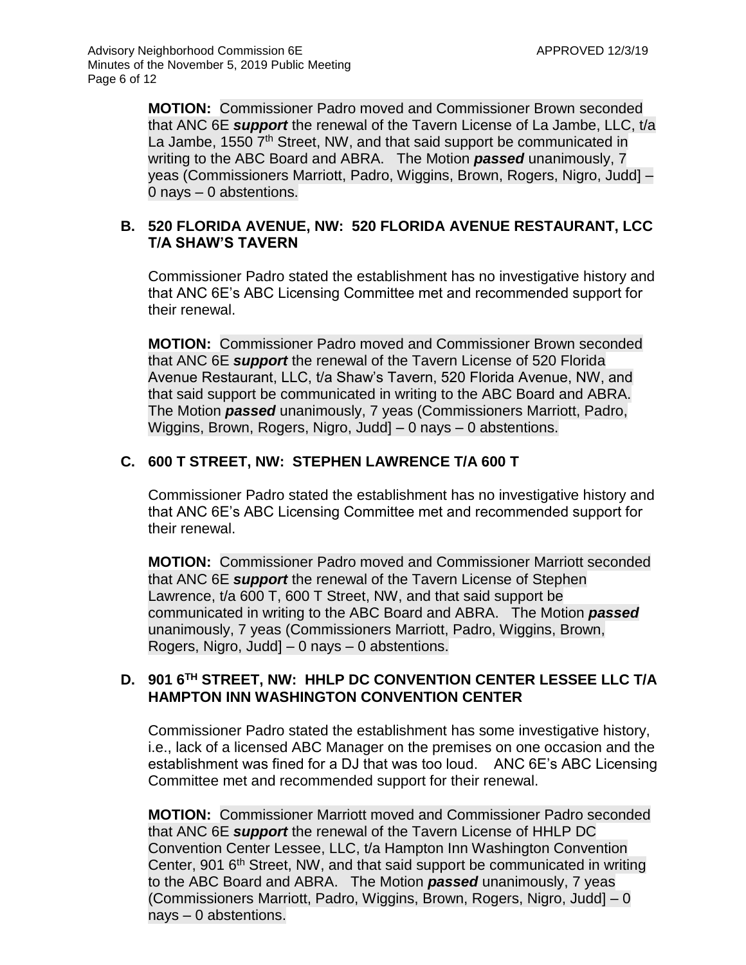**MOTION:** Commissioner Padro moved and Commissioner Brown seconded that ANC 6E *support* the renewal of the Tavern License of La Jambe, LLC, t/a La Jambe, 1550 7<sup>th</sup> Street, NW, and that said support be communicated in writing to the ABC Board and ABRA. The Motion *passed* unanimously, 7 yeas (Commissioners Marriott, Padro, Wiggins, Brown, Rogers, Nigro, Judd] – 0 nays – 0 abstentions.

## **B. 520 FLORIDA AVENUE, NW: 520 FLORIDA AVENUE RESTAURANT, LCC T/A SHAW'S TAVERN**

Commissioner Padro stated the establishment has no investigative history and that ANC 6E's ABC Licensing Committee met and recommended support for their renewal.

**MOTION:** Commissioner Padro moved and Commissioner Brown seconded that ANC 6E *support* the renewal of the Tavern License of 520 Florida Avenue Restaurant, LLC, t/a Shaw's Tavern, 520 Florida Avenue, NW, and that said support be communicated in writing to the ABC Board and ABRA. The Motion *passed* unanimously, 7 yeas (Commissioners Marriott, Padro, Wiggins, Brown, Rogers, Nigro, Judd] – 0 nays – 0 abstentions.

## **C. 600 T STREET, NW: STEPHEN LAWRENCE T/A 600 T**

Commissioner Padro stated the establishment has no investigative history and that ANC 6E's ABC Licensing Committee met and recommended support for their renewal.

**MOTION:** Commissioner Padro moved and Commissioner Marriott seconded that ANC 6E *support* the renewal of the Tavern License of Stephen Lawrence, t/a 600 T, 600 T Street, NW, and that said support be communicated in writing to the ABC Board and ABRA. The Motion *passed* unanimously, 7 yeas (Commissioners Marriott, Padro, Wiggins, Brown, Rogers, Nigro, Judd] – 0 nays – 0 abstentions.

## **D. 901 6TH STREET, NW: HHLP DC CONVENTION CENTER LESSEE LLC T/A HAMPTON INN WASHINGTON CONVENTION CENTER**

Commissioner Padro stated the establishment has some investigative history, i.e., lack of a licensed ABC Manager on the premises on one occasion and the establishment was fined for a DJ that was too loud. ANC 6E's ABC Licensing Committee met and recommended support for their renewal.

**MOTION:** Commissioner Marriott moved and Commissioner Padro seconded that ANC 6E *support* the renewal of the Tavern License of HHLP DC Convention Center Lessee, LLC, t/a Hampton Inn Washington Convention Center, 901 6<sup>th</sup> Street, NW, and that said support be communicated in writing to the ABC Board and ABRA. The Motion *passed* unanimously, 7 yeas (Commissioners Marriott, Padro, Wiggins, Brown, Rogers, Nigro, Judd] – 0 nays – 0 abstentions.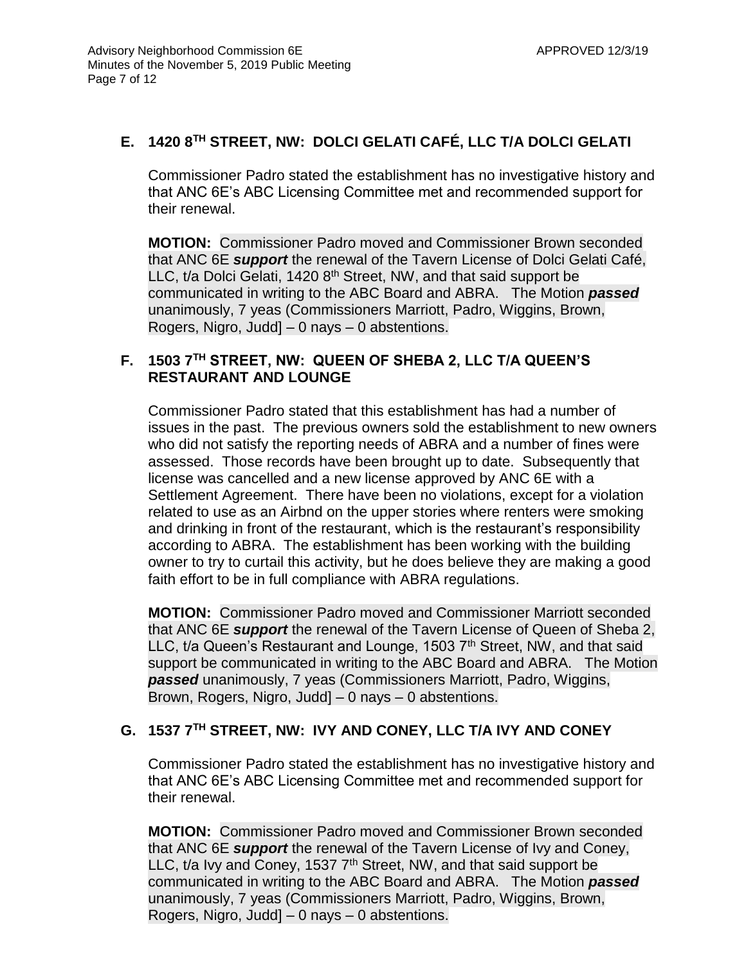## **E. 1420 8TH STREET, NW: DOLCI GELATI CAFÉ, LLC T/A DOLCI GELATI**

Commissioner Padro stated the establishment has no investigative history and that ANC 6E's ABC Licensing Committee met and recommended support for their renewal.

**MOTION:** Commissioner Padro moved and Commissioner Brown seconded that ANC 6E *support* the renewal of the Tavern License of Dolci Gelati Café, LLC, t/a Dolci Gelati, 1420 8<sup>th</sup> Street, NW, and that said support be communicated in writing to the ABC Board and ABRA. The Motion *passed* unanimously, 7 yeas (Commissioners Marriott, Padro, Wiggins, Brown, Rogers, Nigro, Judd] – 0 nays – 0 abstentions.

## **F. 1503 7TH STREET, NW: QUEEN OF SHEBA 2, LLC T/A QUEEN'S RESTAURANT AND LOUNGE**

Commissioner Padro stated that this establishment has had a number of issues in the past. The previous owners sold the establishment to new owners who did not satisfy the reporting needs of ABRA and a number of fines were assessed. Those records have been brought up to date. Subsequently that license was cancelled and a new license approved by ANC 6E with a Settlement Agreement. There have been no violations, except for a violation related to use as an Airbnd on the upper stories where renters were smoking and drinking in front of the restaurant, which is the restaurant's responsibility according to ABRA. The establishment has been working with the building owner to try to curtail this activity, but he does believe they are making a good faith effort to be in full compliance with ABRA regulations.

**MOTION:** Commissioner Padro moved and Commissioner Marriott seconded that ANC 6E *support* the renewal of the Tavern License of Queen of Sheba 2, LLC, t/a Queen's Restaurant and Lounge, 1503  $7<sup>th</sup>$  Street, NW, and that said support be communicated in writing to the ABC Board and ABRA. The Motion *passed* unanimously, 7 yeas (Commissioners Marriott, Padro, Wiggins, Brown, Rogers, Nigro, Judd] – 0 nays – 0 abstentions.

## **G. 1537 7TH STREET, NW: IVY AND CONEY, LLC T/A IVY AND CONEY**

Commissioner Padro stated the establishment has no investigative history and that ANC 6E's ABC Licensing Committee met and recommended support for their renewal.

**MOTION:** Commissioner Padro moved and Commissioner Brown seconded that ANC 6E *support* the renewal of the Tavern License of Ivy and Coney, LLC, t/a Ivy and Coney, 1537  $7<sup>th</sup>$  Street, NW, and that said support be communicated in writing to the ABC Board and ABRA. The Motion *passed* unanimously, 7 yeas (Commissioners Marriott, Padro, Wiggins, Brown, Rogers, Nigro, Judd] – 0 nays – 0 abstentions.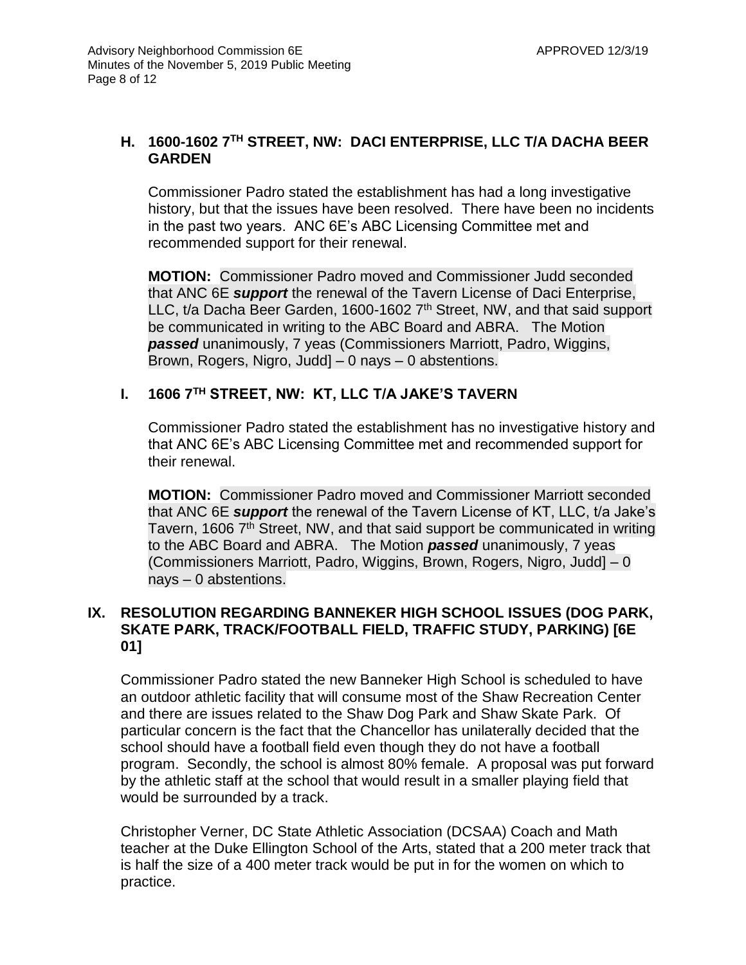## **H. 1600-1602 7TH STREET, NW: DACI ENTERPRISE, LLC T/A DACHA BEER GARDEN**

Commissioner Padro stated the establishment has had a long investigative history, but that the issues have been resolved. There have been no incidents in the past two years. ANC 6E's ABC Licensing Committee met and recommended support for their renewal.

**MOTION:** Commissioner Padro moved and Commissioner Judd seconded that ANC 6E *support* the renewal of the Tavern License of Daci Enterprise, LLC, t/a Dacha Beer Garden, 1600-1602  $7<sup>th</sup>$  Street, NW, and that said support be communicated in writing to the ABC Board and ABRA. The Motion *passed* unanimously, 7 yeas (Commissioners Marriott, Padro, Wiggins, Brown, Rogers, Nigro, Judd] – 0 nays – 0 abstentions.

## **I. 1606 7TH STREET, NW: KT, LLC T/A JAKE'S TAVERN**

Commissioner Padro stated the establishment has no investigative history and that ANC 6E's ABC Licensing Committee met and recommended support for their renewal.

**MOTION:** Commissioner Padro moved and Commissioner Marriott seconded that ANC 6E *support* the renewal of the Tavern License of KT, LLC, t/a Jake's Tavern, 1606 7<sup>th</sup> Street, NW, and that said support be communicated in writing to the ABC Board and ABRA. The Motion *passed* unanimously, 7 yeas (Commissioners Marriott, Padro, Wiggins, Brown, Rogers, Nigro, Judd] – 0 nays – 0 abstentions.

## **IX. RESOLUTION REGARDING BANNEKER HIGH SCHOOL ISSUES (DOG PARK, SKATE PARK, TRACK/FOOTBALL FIELD, TRAFFIC STUDY, PARKING) [6E 01]**

Commissioner Padro stated the new Banneker High School is scheduled to have an outdoor athletic facility that will consume most of the Shaw Recreation Center and there are issues related to the Shaw Dog Park and Shaw Skate Park. Of particular concern is the fact that the Chancellor has unilaterally decided that the school should have a football field even though they do not have a football program. Secondly, the school is almost 80% female. A proposal was put forward by the athletic staff at the school that would result in a smaller playing field that would be surrounded by a track.

Christopher Verner, DC State Athletic Association (DCSAA) Coach and Math teacher at the Duke Ellington School of the Arts, stated that a 200 meter track that is half the size of a 400 meter track would be put in for the women on which to practice.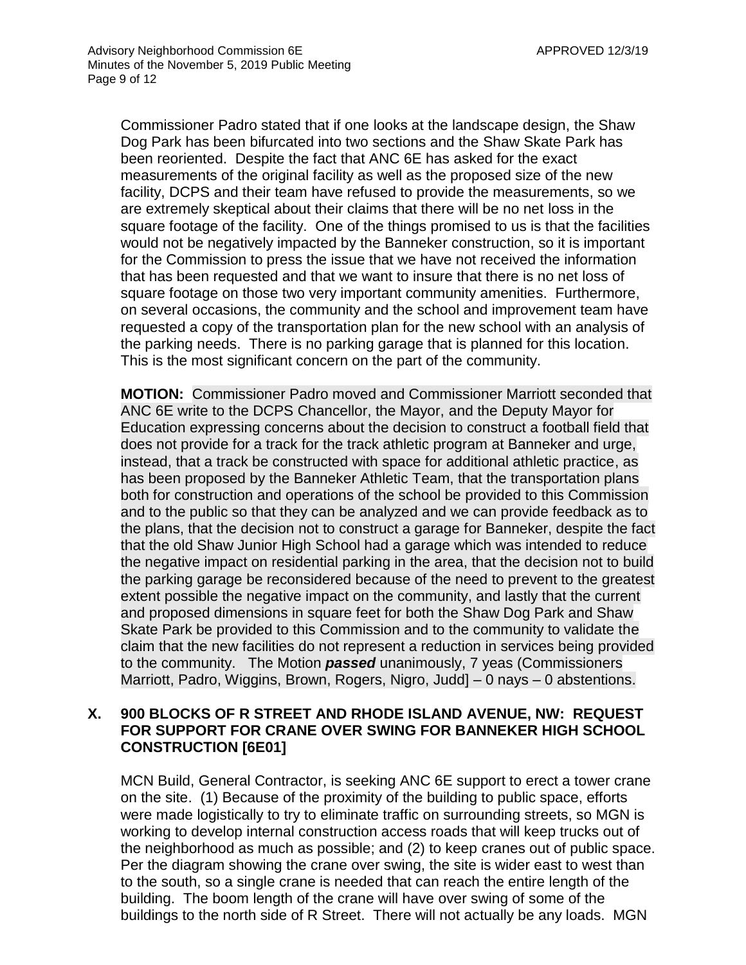Commissioner Padro stated that if one looks at the landscape design, the Shaw Dog Park has been bifurcated into two sections and the Shaw Skate Park has been reoriented. Despite the fact that ANC 6E has asked for the exact measurements of the original facility as well as the proposed size of the new facility, DCPS and their team have refused to provide the measurements, so we are extremely skeptical about their claims that there will be no net loss in the square footage of the facility. One of the things promised to us is that the facilities would not be negatively impacted by the Banneker construction, so it is important for the Commission to press the issue that we have not received the information that has been requested and that we want to insure that there is no net loss of square footage on those two very important community amenities. Furthermore, on several occasions, the community and the school and improvement team have requested a copy of the transportation plan for the new school with an analysis of the parking needs. There is no parking garage that is planned for this location. This is the most significant concern on the part of the community.

**MOTION:** Commissioner Padro moved and Commissioner Marriott seconded that ANC 6E write to the DCPS Chancellor, the Mayor, and the Deputy Mayor for Education expressing concerns about the decision to construct a football field that does not provide for a track for the track athletic program at Banneker and urge, instead, that a track be constructed with space for additional athletic practice, as has been proposed by the Banneker Athletic Team, that the transportation plans both for construction and operations of the school be provided to this Commission and to the public so that they can be analyzed and we can provide feedback as to the plans, that the decision not to construct a garage for Banneker, despite the fact that the old Shaw Junior High School had a garage which was intended to reduce the negative impact on residential parking in the area, that the decision not to build the parking garage be reconsidered because of the need to prevent to the greatest extent possible the negative impact on the community, and lastly that the current and proposed dimensions in square feet for both the Shaw Dog Park and Shaw Skate Park be provided to this Commission and to the community to validate the claim that the new facilities do not represent a reduction in services being provided to the community. The Motion *passed* unanimously, 7 yeas (Commissioners Marriott, Padro, Wiggins, Brown, Rogers, Nigro, Judd] – 0 nays – 0 abstentions.

#### **X. 900 BLOCKS OF R STREET AND RHODE ISLAND AVENUE, NW: REQUEST FOR SUPPORT FOR CRANE OVER SWING FOR BANNEKER HIGH SCHOOL CONSTRUCTION [6E01]**

MCN Build, General Contractor, is seeking ANC 6E support to erect a tower crane on the site. (1) Because of the proximity of the building to public space, efforts were made logistically to try to eliminate traffic on surrounding streets, so MGN is working to develop internal construction access roads that will keep trucks out of the neighborhood as much as possible; and (2) to keep cranes out of public space. Per the diagram showing the crane over swing, the site is wider east to west than to the south, so a single crane is needed that can reach the entire length of the building. The boom length of the crane will have over swing of some of the buildings to the north side of R Street. There will not actually be any loads. MGN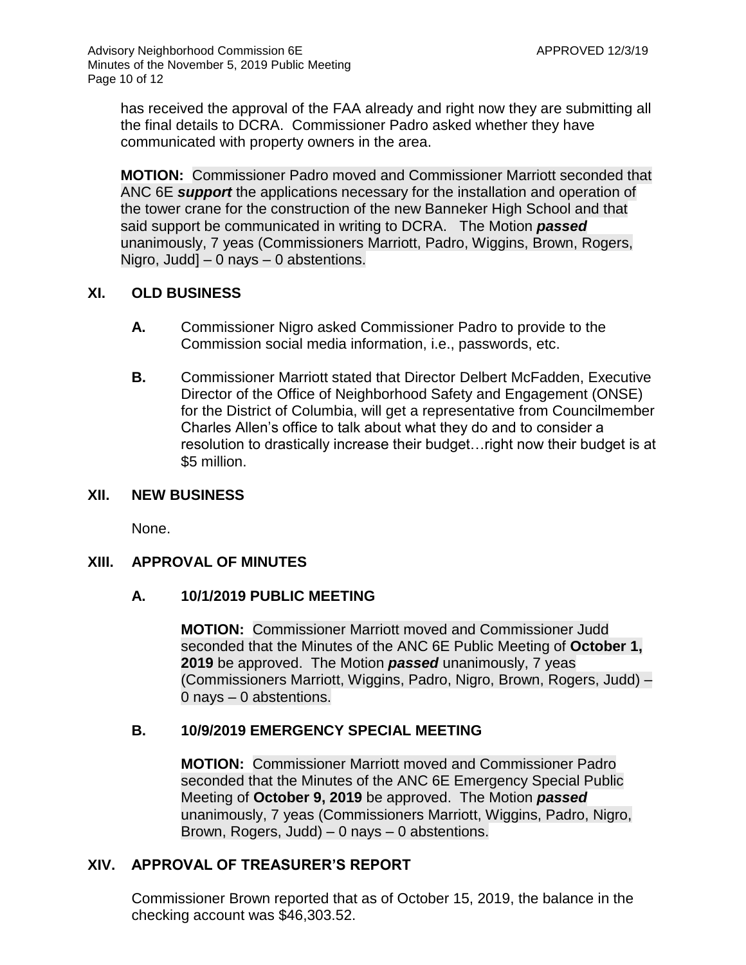has received the approval of the FAA already and right now they are submitting all the final details to DCRA. Commissioner Padro asked whether they have communicated with property owners in the area.

**MOTION:** Commissioner Padro moved and Commissioner Marriott seconded that ANC 6E *support* the applications necessary for the installation and operation of the tower crane for the construction of the new Banneker High School and that said support be communicated in writing to DCRA. The Motion *passed* unanimously, 7 yeas (Commissioners Marriott, Padro, Wiggins, Brown, Rogers, Nigro, Judd] – 0 nays – 0 abstentions.

## **XI. OLD BUSINESS**

- **A.** Commissioner Nigro asked Commissioner Padro to provide to the Commission social media information, i.e., passwords, etc.
- **B.** Commissioner Marriott stated that Director Delbert McFadden, Executive Director of the Office of Neighborhood Safety and Engagement (ONSE) for the District of Columbia, will get a representative from Councilmember Charles Allen's office to talk about what they do and to consider a resolution to drastically increase their budget…right now their budget is at \$5 million.

## **XII. NEW BUSINESS**

None.

## **XIII. APPROVAL OF MINUTES**

## **A. 10/1/2019 PUBLIC MEETING**

**MOTION:** Commissioner Marriott moved and Commissioner Judd seconded that the Minutes of the ANC 6E Public Meeting of **October 1, 2019** be approved. The Motion *passed* unanimously, 7 yeas (Commissioners Marriott, Wiggins, Padro, Nigro, Brown, Rogers, Judd) – 0 nays – 0 abstentions.

## **B. 10/9/2019 EMERGENCY SPECIAL MEETING**

**MOTION:** Commissioner Marriott moved and Commissioner Padro seconded that the Minutes of the ANC 6E Emergency Special Public Meeting of **October 9, 2019** be approved. The Motion *passed* unanimously, 7 yeas (Commissioners Marriott, Wiggins, Padro, Nigro, Brown, Rogers, Judd) – 0 nays – 0 abstentions.

## **XIV. APPROVAL OF TREASURER'S REPORT**

Commissioner Brown reported that as of October 15, 2019, the balance in the checking account was \$46,303.52.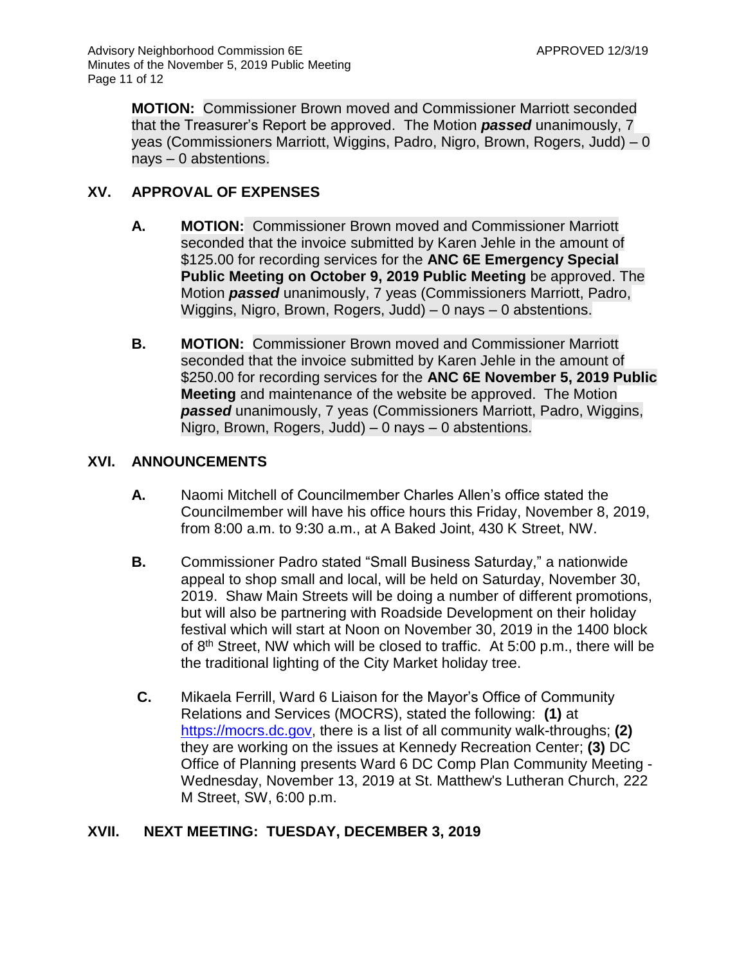**MOTION:** Commissioner Brown moved and Commissioner Marriott seconded that the Treasurer's Report be approved. The Motion *passed* unanimously, 7 yeas (Commissioners Marriott, Wiggins, Padro, Nigro, Brown, Rogers, Judd) – 0 nays – 0 abstentions.

## **XV. APPROVAL OF EXPENSES**

- **A. MOTION:** Commissioner Brown moved and Commissioner Marriott seconded that the invoice submitted by Karen Jehle in the amount of \$125.00 for recording services for the **ANC 6E Emergency Special Public Meeting on October 9, 2019 Public Meeting** be approved. The Motion *passed* unanimously, 7 yeas (Commissioners Marriott, Padro, Wiggins, Nigro, Brown, Rogers, Judd) – 0 nays – 0 abstentions.
- **B. MOTION:** Commissioner Brown moved and Commissioner Marriott seconded that the invoice submitted by Karen Jehle in the amount of \$250.00 for recording services for the **ANC 6E November 5, 2019 Public Meeting** and maintenance of the website be approved. The Motion *passed* unanimously, 7 yeas (Commissioners Marriott, Padro, Wiggins, Nigro, Brown, Rogers, Judd) – 0 nays – 0 abstentions.

## **XVI. ANNOUNCEMENTS**

- **A.** Naomi Mitchell of Councilmember Charles Allen's office stated the Councilmember will have his office hours this Friday, November 8, 2019, from 8:00 a.m. to 9:30 a.m., at A Baked Joint, 430 K Street, NW.
- **B.** Commissioner Padro stated "Small Business Saturday," a nationwide appeal to shop small and local, will be held on Saturday, November 30, 2019. Shaw Main Streets will be doing a number of different promotions, but will also be partnering with Roadside Development on their holiday festival which will start at Noon on November 30, 2019 in the 1400 block of 8th Street, NW which will be closed to traffic. At 5:00 p.m., there will be the traditional lighting of the City Market holiday tree.
- **C.** Mikaela Ferrill, Ward 6 Liaison for the Mayor's Office of Community Relations and Services (MOCRS), stated the following: **(1)** at [https://mocrs.dc.gov,](https://mocrs.dc.gov/) there is a list of all community walk-throughs; **(2)** they are working on the issues at Kennedy Recreation Center; **(3)** DC Office of Planning presents Ward 6 DC Comp Plan Community Meeting - Wednesday, November 13, 2019 at St. Matthew's Lutheran Church, 222 M Street, SW, 6:00 p.m.

# **XVII. NEXT MEETING: TUESDAY, DECEMBER 3, 2019**